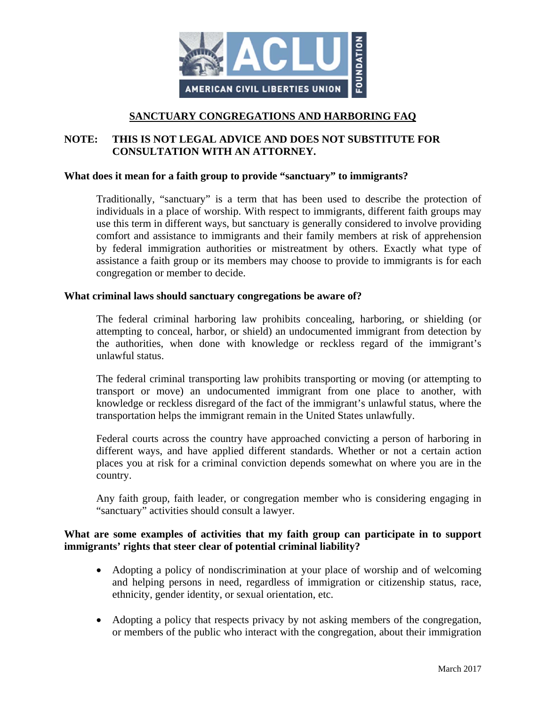

## **SANCTUARY CONGREGATIONS AND HARBORING FAQ**

## **NOTE: THIS IS NOT LEGAL ADVICE AND DOES NOT SUBSTITUTE FOR CONSULTATION WITH AN ATTORNEY.**

#### **What does it mean for a faith group to provide "sanctuary" to immigrants?**

Traditionally, "sanctuary" is a term that has been used to describe the protection of individuals in a place of worship. With respect to immigrants, different faith groups may use this term in different ways, but sanctuary is generally considered to involve providing comfort and assistance to immigrants and their family members at risk of apprehension by federal immigration authorities or mistreatment by others. Exactly what type of assistance a faith group or its members may choose to provide to immigrants is for each congregation or member to decide.

#### **What criminal laws should sanctuary congregations be aware of?**

The federal criminal harboring law prohibits concealing, harboring, or shielding (or attempting to conceal, harbor, or shield) an undocumented immigrant from detection by the authorities, when done with knowledge or reckless regard of the immigrant's unlawful status.

The federal criminal transporting law prohibits transporting or moving (or attempting to transport or move) an undocumented immigrant from one place to another, with knowledge or reckless disregard of the fact of the immigrant's unlawful status, where the transportation helps the immigrant remain in the United States unlawfully.

Federal courts across the country have approached convicting a person of harboring in different ways, and have applied different standards. Whether or not a certain action places you at risk for a criminal conviction depends somewhat on where you are in the country.

Any faith group, faith leader, or congregation member who is considering engaging in "sanctuary" activities should consult a lawyer.

#### **What are some examples of activities that my faith group can participate in to support immigrants' rights that steer clear of potential criminal liability?**

- Adopting a policy of nondiscrimination at your place of worship and of welcoming and helping persons in need, regardless of immigration or citizenship status, race, ethnicity, gender identity, or sexual orientation, etc.
- Adopting a policy that respects privacy by not asking members of the congregation, or members of the public who interact with the congregation, about their immigration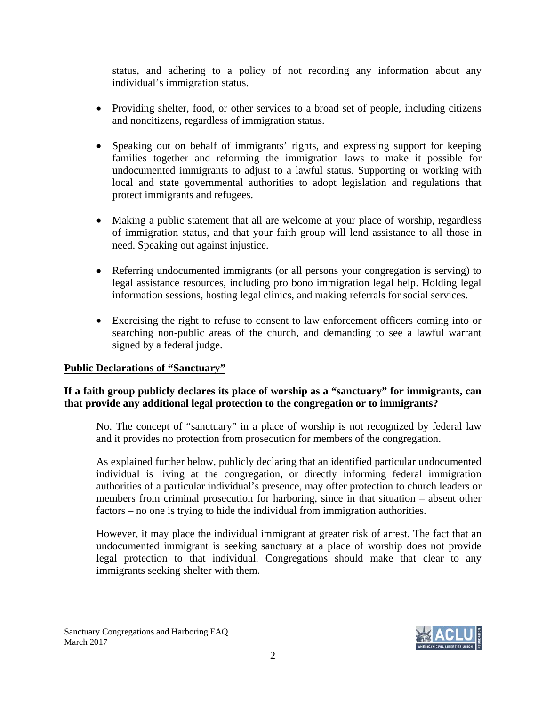status, and adhering to a policy of not recording any information about any individual's immigration status.

- Providing shelter, food, or other services to a broad set of people, including citizens and noncitizens, regardless of immigration status.
- Speaking out on behalf of immigrants' rights, and expressing support for keeping families together and reforming the immigration laws to make it possible for undocumented immigrants to adjust to a lawful status. Supporting or working with local and state governmental authorities to adopt legislation and regulations that protect immigrants and refugees.
- Making a public statement that all are welcome at your place of worship, regardless of immigration status, and that your faith group will lend assistance to all those in need. Speaking out against injustice.
- Referring undocumented immigrants (or all persons your congregation is serving) to legal assistance resources, including pro bono immigration legal help. Holding legal information sessions, hosting legal clinics, and making referrals for social services.
- Exercising the right to refuse to consent to law enforcement officers coming into or searching non-public areas of the church, and demanding to see a lawful warrant signed by a federal judge.

# **Public Declarations of "Sanctuary"**

# **If a faith group publicly declares its place of worship as a "sanctuary" for immigrants, can that provide any additional legal protection to the congregation or to immigrants?**

No. The concept of "sanctuary" in a place of worship is not recognized by federal law and it provides no protection from prosecution for members of the congregation.

As explained further below, publicly declaring that an identified particular undocumented individual is living at the congregation, or directly informing federal immigration authorities of a particular individual's presence, may offer protection to church leaders or members from criminal prosecution for harboring, since in that situation – absent other factors – no one is trying to hide the individual from immigration authorities.

However, it may place the individual immigrant at greater risk of arrest. The fact that an undocumented immigrant is seeking sanctuary at a place of worship does not provide legal protection to that individual. Congregations should make that clear to any immigrants seeking shelter with them.

Sanctuary Congregations and Harboring FAQ March 2017

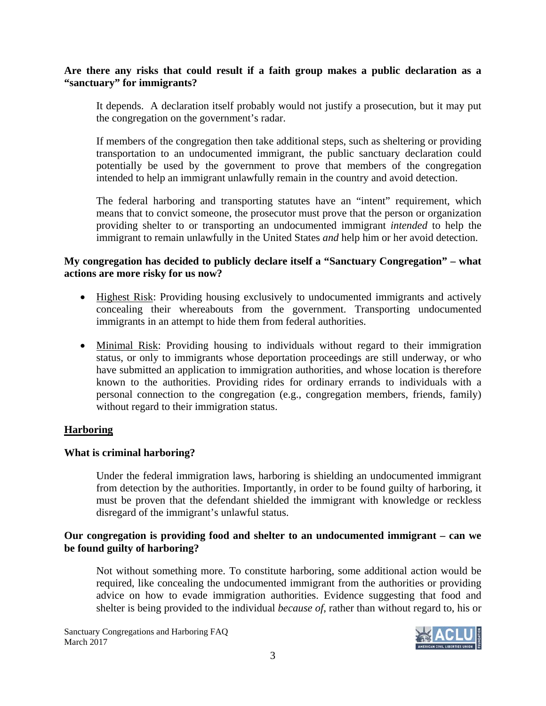## **Are there any risks that could result if a faith group makes a public declaration as a "sanctuary" for immigrants?**

It depends. A declaration itself probably would not justify a prosecution, but it may put the congregation on the government's radar.

If members of the congregation then take additional steps, such as sheltering or providing transportation to an undocumented immigrant, the public sanctuary declaration could potentially be used by the government to prove that members of the congregation intended to help an immigrant unlawfully remain in the country and avoid detection.

The federal harboring and transporting statutes have an "intent" requirement, which means that to convict someone, the prosecutor must prove that the person or organization providing shelter to or transporting an undocumented immigrant *intended* to help the immigrant to remain unlawfully in the United States *and* help him or her avoid detection.

## **My congregation has decided to publicly declare itself a "Sanctuary Congregation" – what actions are more risky for us now?**

- Highest Risk: Providing housing exclusively to undocumented immigrants and actively concealing their whereabouts from the government. Transporting undocumented immigrants in an attempt to hide them from federal authorities.
- Minimal Risk: Providing housing to individuals without regard to their immigration status, or only to immigrants whose deportation proceedings are still underway, or who have submitted an application to immigration authorities, and whose location is therefore known to the authorities. Providing rides for ordinary errands to individuals with a personal connection to the congregation (e.g., congregation members, friends, family) without regard to their immigration status.

# **Harboring**

# **What is criminal harboring?**

Under the federal immigration laws, harboring is shielding an undocumented immigrant from detection by the authorities. Importantly, in order to be found guilty of harboring, it must be proven that the defendant shielded the immigrant with knowledge or reckless disregard of the immigrant's unlawful status.

## **Our congregation is providing food and shelter to an undocumented immigrant – can we be found guilty of harboring?**

Not without something more. To constitute harboring, some additional action would be required, like concealing the undocumented immigrant from the authorities or providing advice on how to evade immigration authorities. Evidence suggesting that food and shelter is being provided to the individual *because of*, rather than without regard to, his or

Sanctuary Congregations and Harboring FAQ March 2017

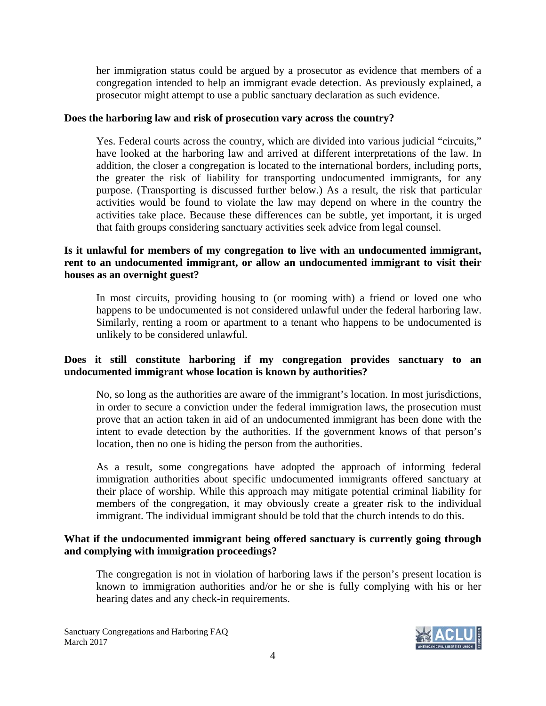her immigration status could be argued by a prosecutor as evidence that members of a congregation intended to help an immigrant evade detection. As previously explained, a prosecutor might attempt to use a public sanctuary declaration as such evidence.

#### **Does the harboring law and risk of prosecution vary across the country?**

Yes. Federal courts across the country, which are divided into various judicial "circuits," have looked at the harboring law and arrived at different interpretations of the law. In addition, the closer a congregation is located to the international borders, including ports, the greater the risk of liability for transporting undocumented immigrants, for any purpose. (Transporting is discussed further below.) As a result, the risk that particular activities would be found to violate the law may depend on where in the country the activities take place. Because these differences can be subtle, yet important, it is urged that faith groups considering sanctuary activities seek advice from legal counsel.

## **Is it unlawful for members of my congregation to live with an undocumented immigrant, rent to an undocumented immigrant, or allow an undocumented immigrant to visit their houses as an overnight guest?**

In most circuits, providing housing to (or rooming with) a friend or loved one who happens to be undocumented is not considered unlawful under the federal harboring law. Similarly, renting a room or apartment to a tenant who happens to be undocumented is unlikely to be considered unlawful.

## **Does it still constitute harboring if my congregation provides sanctuary to an undocumented immigrant whose location is known by authorities?**

No, so long as the authorities are aware of the immigrant's location. In most jurisdictions, in order to secure a conviction under the federal immigration laws, the prosecution must prove that an action taken in aid of an undocumented immigrant has been done with the intent to evade detection by the authorities. If the government knows of that person's location, then no one is hiding the person from the authorities.

As a result, some congregations have adopted the approach of informing federal immigration authorities about specific undocumented immigrants offered sanctuary at their place of worship. While this approach may mitigate potential criminal liability for members of the congregation, it may obviously create a greater risk to the individual immigrant. The individual immigrant should be told that the church intends to do this.

## **What if the undocumented immigrant being offered sanctuary is currently going through and complying with immigration proceedings?**

The congregation is not in violation of harboring laws if the person's present location is known to immigration authorities and/or he or she is fully complying with his or her hearing dates and any check-in requirements.

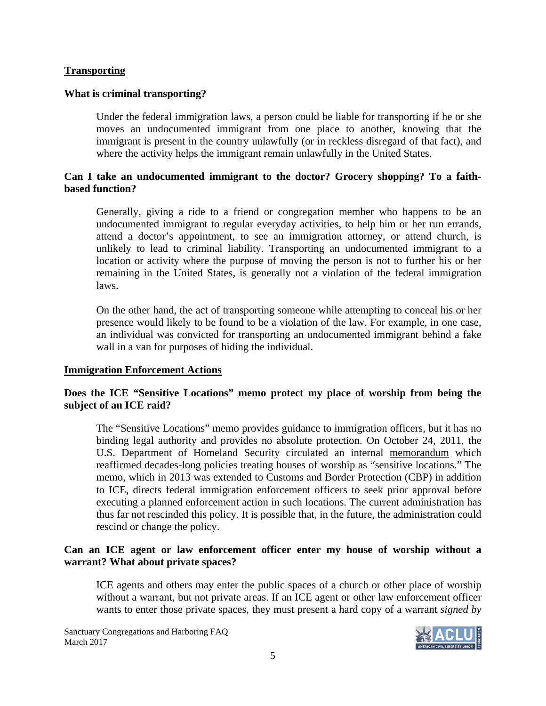## **Transporting**

#### **What is criminal transporting?**

Under the federal immigration laws, a person could be liable for transporting if he or she moves an undocumented immigrant from one place to another, knowing that the immigrant is present in the country unlawfully (or in reckless disregard of that fact), and where the activity helps the immigrant remain unlawfully in the United States.

# **Can I take an undocumented immigrant to the doctor? Grocery shopping? To a faithbased function?**

Generally, giving a ride to a friend or congregation member who happens to be an undocumented immigrant to regular everyday activities, to help him or her run errands, attend a doctor's appointment, to see an immigration attorney, or attend church, is unlikely to lead to criminal liability. Transporting an undocumented immigrant to a location or activity where the purpose of moving the person is not to further his or her remaining in the United States, is generally not a violation of the federal immigration laws.

On the other hand, the act of transporting someone while attempting to conceal his or her presence would likely to be found to be a violation of the law. For example, in one case, an individual was convicted for transporting an undocumented immigrant behind a fake wall in a van for purposes of hiding the individual.

#### **Immigration Enforcement Actions**

# **Does the ICE "Sensitive Locations" memo protect my place of worship from being the subject of an ICE raid?**

The "Sensitive Locations" memo provides guidance to immigration officers, but it has no binding legal authority and provides no absolute protection. On October 24, 2011, the U.S. Department of Homeland Security circulated an internal memorandum which reaffirmed decades-long policies treating houses of worship as "sensitive locations." The memo, which in 2013 was extended to Customs and Border Protection (CBP) in addition to ICE, directs federal immigration enforcement officers to seek prior approval before executing a planned enforcement action in such locations. The current administration has thus far not rescinded this policy. It is possible that, in the future, the administration could rescind or change the policy.

## **Can an ICE agent or law enforcement officer enter my house of worship without a warrant? What about private spaces?**

ICE agents and others may enter the public spaces of a church or other place of worship without a warrant, but not private areas. If an ICE agent or other law enforcement officer wants to enter those private spaces, they must present a hard copy of a warrant *signed by* 

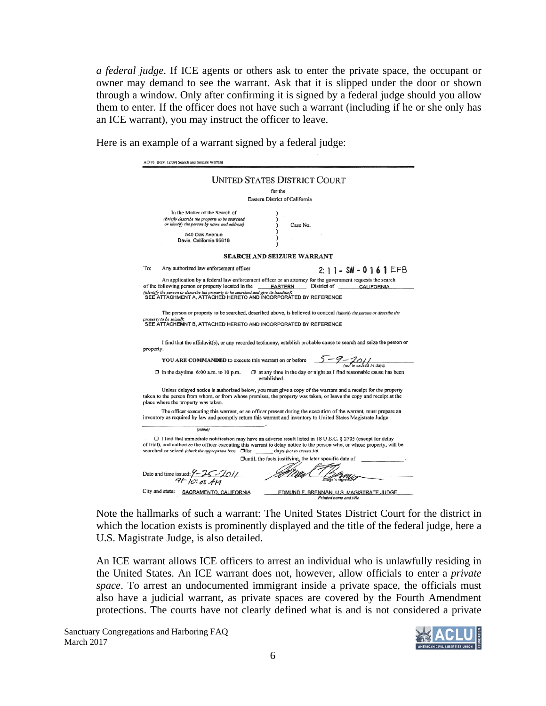*a federal judge*. If ICE agents or others ask to enter the private space, the occupant or owner may demand to see the warrant. Ask that it is slipped under the door or shown through a window. Only after confirming it is signed by a federal judge should you allow them to enter. If the officer does not have such a warrant (including if he or she only has an ICE warrant), you may instruct the officer to leave.

AO 93 (Rev. 12/09) Search and Seizure Warran **UNITED STATES DISTRICT COURT** for the Eastern District of California In the Matter of the Search of (Briefly describe the property to be searched<br>or identify the person by name and address) Case No. 540 Oak Avenue Davis, California 95616 **SEARCH AND SEIZURE WARRANT** To: Any authorized law enforcement officer  $2:11 - SW - 0161EFB$ An application by a federal law enforcement officer or an attorney for the government requests the search of the following person or property located in the \_\_\_\_\_\_\_\_\_\_\_\_\_\_\_\_\_\_\_\_\_\_\_\_\_\_\_\_\_\_\_\_\_\_District of **CALIFORNIA** (identify the person or describe the property to be searched and give its location):<br>SEE ATTACHMENT A, ATTACHED HERETO AND INCORPORATED BY REFERENCE The person or property to be searched, described above, is believed to conceal (identify the person or describe the property to be seized):<br>SEE ATTACHEMNT B, ATTACHED HERETO AND INCORPORATED BY REFERENCE I find that the affidavit(s), or any recorded testimony, establish probable cause to search and seize the person or property.  $5 - 9 - 201$ YOU ARE COMMANDED to execute this warrant on or before  $\Box$  at any time in the day or night as I find reasonable cause has been  $\Box$  in the daytime 6:00 a.m. to 10 p.m. established. Unless delayed notice is authorized below, you must give a copy of the warrant and a receipt for the property taken to the person from whom, or from whose premises, the property was taken, or leave the copy and receipt at the place where the property was taken. The officer executing this warrant, or an officer present during the execution of the warrant, must prepare an inventory as required by law and promptly return this warrant and inventory to United States Magistrate Judge (name) □ I find that immediate notification may have an adverse result listed in 18 U.S.C. § 2705 (except for delay of trial), and authorize the officer executing this warrant to delay notice to the person who, or whose property, will be searched or seized (check the appropriate box) <a>D</a>for days (not to exceed 30). Duntil, the facts justifying, the later specific date of Date and time issued:  $7 - 25 - 2011$ traus  $4F10:50H$ City and state: SACRAMENTO, CALIFORNIA EDMUND F. BRENNAN, U.S. MAGISTRATE JUDGE

Here is an example of a warrant signed by a federal judge:

Note the hallmarks of such a warrant: The United States District Court for the district in which the location exists is prominently displayed and the title of the federal judge, here a U.S. Magistrate Judge, is also detailed.

An ICE warrant allows ICE officers to arrest an individual who is unlawfully residing in the United States. An ICE warrant does not, however, allow officials to enter a *private space*. To arrest an undocumented immigrant inside a private space, the officials must also have a judicial warrant, as private spaces are covered by the Fourth Amendment protections. The courts have not clearly defined what is and is not considered a private

Sanctuary Congregations and Harboring FAQ March 2017

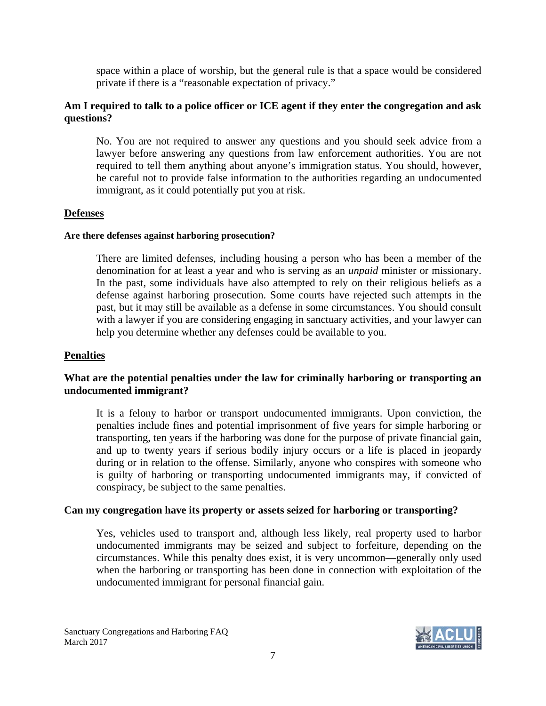space within a place of worship, but the general rule is that a space would be considered private if there is a "reasonable expectation of privacy."

# **Am I required to talk to a police officer or ICE agent if they enter the congregation and ask questions?**

No. You are not required to answer any questions and you should seek advice from a lawyer before answering any questions from law enforcement authorities. You are not required to tell them anything about anyone's immigration status. You should, however, be careful not to provide false information to the authorities regarding an undocumented immigrant, as it could potentially put you at risk.

# **Defenses**

#### **Are there defenses against harboring prosecution?**

There are limited defenses, including housing a person who has been a member of the denomination for at least a year and who is serving as an *unpaid* minister or missionary. In the past, some individuals have also attempted to rely on their religious beliefs as a defense against harboring prosecution. Some courts have rejected such attempts in the past, but it may still be available as a defense in some circumstances. You should consult with a lawyer if you are considering engaging in sanctuary activities, and your lawyer can help you determine whether any defenses could be available to you.

#### **Penalties**

## **What are the potential penalties under the law for criminally harboring or transporting an undocumented immigrant?**

It is a felony to harbor or transport undocumented immigrants. Upon conviction, the penalties include fines and potential imprisonment of five years for simple harboring or transporting, ten years if the harboring was done for the purpose of private financial gain, and up to twenty years if serious bodily injury occurs or a life is placed in jeopardy during or in relation to the offense. Similarly, anyone who conspires with someone who is guilty of harboring or transporting undocumented immigrants may, if convicted of conspiracy, be subject to the same penalties.

# **Can my congregation have its property or assets seized for harboring or transporting?**

Yes, vehicles used to transport and, although less likely, real property used to harbor undocumented immigrants may be seized and subject to forfeiture, depending on the circumstances. While this penalty does exist, it is very uncommon—generally only used when the harboring or transporting has been done in connection with exploitation of the undocumented immigrant for personal financial gain.